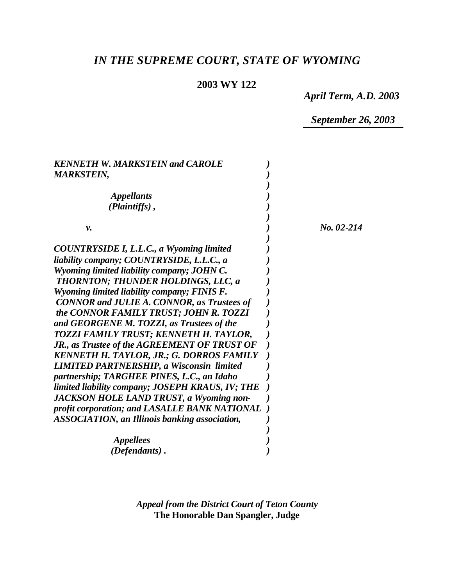# *IN THE SUPREME COURT, STATE OF WYOMING*

# **2003 WY 122**

*April Term, A.D. 2003*

*September 26, 2003*

| <b>KENNETH W. MARKSTEIN and CAROLE</b>               |            |
|------------------------------------------------------|------------|
| <b>MARKSTEIN,</b>                                    |            |
|                                                      |            |
| <i><b>Appellants</b></i>                             |            |
| $(Plaintiffs)$ ,                                     |            |
|                                                      |            |
| ν.                                                   | No. 02-214 |
| <b>COUNTRYSIDE I, L.L.C., a Wyoming limited</b>      |            |
| liability company; COUNTRYSIDE, L.L.C., a            |            |
| Wyoming limited liability company; JOHN C.           |            |
| THORNTON; THUNDER HOLDINGS, LLC, a                   |            |
| Wyoming limited liability company; FINIS F.          |            |
| <b>CONNOR and JULIE A. CONNOR, as Trustees of</b>    |            |
| the CONNOR FAMILY TRUST; JOHN R. TOZZI               |            |
| and GEORGENE M. TOZZI, as Trustees of the            |            |
| TOZZI FAMILY TRUST; KENNETH H. TAYLOR,               |            |
| JR., as Trustee of the AGREEMENT OF TRUST OF         |            |
| <b>KENNETH H. TAYLOR, JR.; G. DORROS FAMILY</b>      |            |
| <b>LIMITED PARTNERSHIP, a Wisconsin limited</b>      |            |
| partnership; TARGHEE PINES, L.C., an Idaho           |            |
| limited liability company; JOSEPH KRAUS, IV; THE     |            |
| <b>JACKSON HOLE LAND TRUST, a Wyoming non-</b>       |            |
| profit corporation; and LASALLE BANK NATIONAL        |            |
| <b>ASSOCIATION, an Illinois banking association,</b> |            |
|                                                      |            |
| <i><b>Appellees</b></i>                              |            |
| (Defendants).                                        |            |

*Appeal from the District Court of Teton County* **The Honorable Dan Spangler, Judge**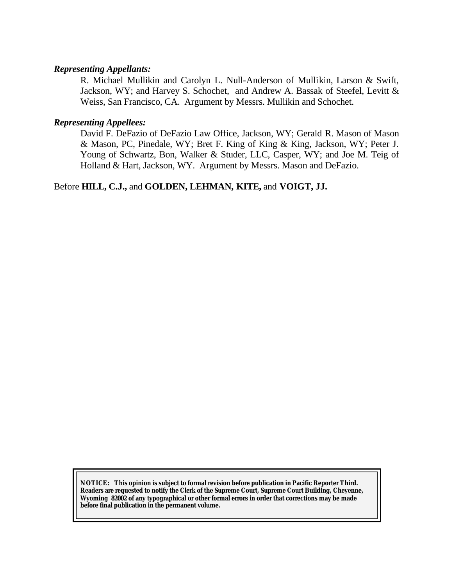#### *Representing Appellants:*

R. Michael Mullikin and Carolyn L. Null-Anderson of Mullikin, Larson & Swift, Jackson, WY; and Harvey S. Schochet, and Andrew A. Bassak of Steefel, Levitt & Weiss, San Francisco, CA. Argument by Messrs. Mullikin and Schochet.

#### *Representing Appellees:*

David F. DeFazio of DeFazio Law Office, Jackson, WY; Gerald R. Mason of Mason & Mason, PC, Pinedale, WY; Bret F. King of King & King, Jackson, WY; Peter J. Young of Schwartz, Bon, Walker & Studer, LLC, Casper, WY; and Joe M. Teig of Holland & Hart, Jackson, WY. Argument by Messrs. Mason and DeFazio.

## Before **HILL, C.J.,** and **GOLDEN, LEHMAN, KITE,** and **VOIGT, JJ.**

**NOTICE:** *This opinion is subject to formal revision before publication in Pacific Reporter Third. Readers are requested to notify the Clerk of the Supreme Court, Supreme Court Building, Cheyenne, Wyoming 82002 of any typographical or other formal errors in order that corrections may be made before final publication in the permanent volume.*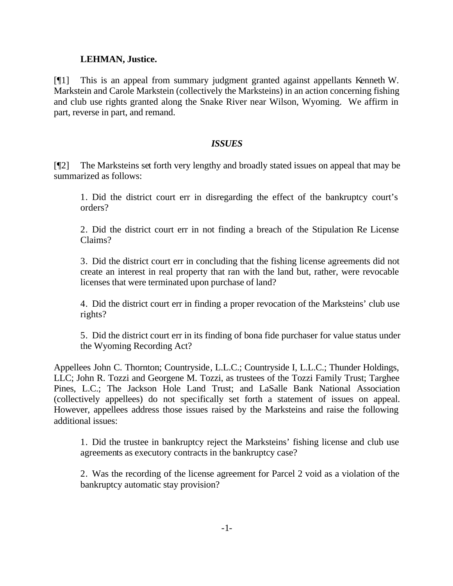#### **LEHMAN, Justice.**

[¶1] This is an appeal from summary judgment granted against appellants Kenneth W. Markstein and Carole Markstein (collectively the Marksteins) in an action concerning fishing and club use rights granted along the Snake River near Wilson, Wyoming. We affirm in part, reverse in part, and remand.

## *ISSUES*

[¶2] The Marksteins set forth very lengthy and broadly stated issues on appeal that may be summarized as follows:

1. Did the district court err in disregarding the effect of the bankruptcy court's orders?

2. Did the district court err in not finding a breach of the Stipulation Re License Claims?

3. Did the district court err in concluding that the fishing license agreements did not create an interest in real property that ran with the land but, rather, were revocable licenses that were terminated upon purchase of land?

4. Did the district court err in finding a proper revocation of the Marksteins' club use rights?

5. Did the district court err in its finding of bona fide purchaser for value status under the Wyoming Recording Act?

Appellees John C. Thornton; Countryside, L.L.C.; Countryside I, L.L.C.; Thunder Holdings, LLC; John R. Tozzi and Georgene M. Tozzi, as trustees of the Tozzi Family Trust; Targhee Pines, L.C.; The Jackson Hole Land Trust; and LaSalle Bank National Association (collectively appellees) do not specifically set forth a statement of issues on appeal. However, appellees address those issues raised by the Marksteins and raise the following additional issues:

1. Did the trustee in bankruptcy reject the Marksteins' fishing license and club use agreements as executory contracts in the bankruptcy case?

2. Was the recording of the license agreement for Parcel 2 void as a violation of the bankruptcy automatic stay provision?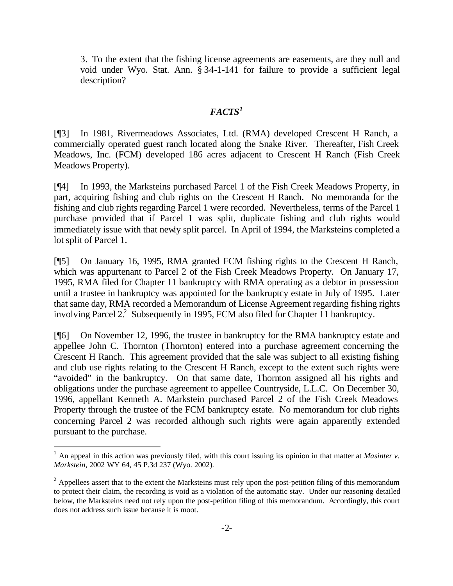3. To the extent that the fishing license agreements are easements, are they null and void under Wyo. Stat. Ann. § 34-1-141 for failure to provide a sufficient legal description?

## *FACTS<sup>1</sup>*

[¶3] In 1981, Rivermeadows Associates, Ltd. (RMA) developed Crescent H Ranch, a commercially operated guest ranch located along the Snake River. Thereafter, Fish Creek Meadows, Inc. (FCM) developed 186 acres adjacent to Crescent H Ranch (Fish Creek Meadows Property).

[¶4] In 1993, the Marksteins purchased Parcel 1 of the Fish Creek Meadows Property, in part, acquiring fishing and club rights on the Crescent H Ranch. No memoranda for the fishing and club rights regarding Parcel 1 were recorded. Nevertheless, terms of the Parcel 1 purchase provided that if Parcel 1 was split, duplicate fishing and club rights would immediately issue with that newly split parcel. In April of 1994, the Marksteins completed a lot split of Parcel 1.

[¶5] On January 16, 1995, RMA granted FCM fishing rights to the Crescent H Ranch, which was appurtenant to Parcel 2 of the Fish Creek Meadows Property. On January 17, 1995, RMA filed for Chapter 11 bankruptcy with RMA operating as a debtor in possession until a trustee in bankruptcy was appointed for the bankruptcy estate in July of 1995. Later that same day, RMA recorded a Memorandum of License Agreement regarding fishing rights involving Parcel 2.<sup>2</sup> Subsequently in 1995, FCM also filed for Chapter 11 bankruptcy.

[¶6] On November 12, 1996, the trustee in bankruptcy for the RMA bankruptcy estate and appellee John C. Thornton (Thornton) entered into a purchase agreement concerning the Crescent H Ranch. This agreement provided that the sale was subject to all existing fishing and club use rights relating to the Crescent H Ranch, except to the extent such rights were "avoided" in the bankruptcy. On that same date, Thornton assigned all his rights and obligations under the purchase agreement to appellee Countryside, L.L.C. On December 30, 1996, appellant Kenneth A. Markstein purchased Parcel 2 of the Fish Creek Meadows Property through the trustee of the FCM bankruptcy estate. No memorandum for club rights concerning Parcel 2 was recorded although such rights were again apparently extended pursuant to the purchase.

 $1$  An appeal in this action was previously filed, with this court issuing its opinion in that matter at *Masinter v*. *Markstein*, 2002 WY 64, 45 P.3d 237 (Wyo. 2002).

 $2$  Appellees assert that to the extent the Marksteins must rely upon the post-petition filing of this memorandum to protect their claim, the recording is void as a violation of the automatic stay. Under our reasoning detailed below, the Marksteins need not rely upon the post-petition filing of this memorandum. Accordingly, this court does not address such issue because it is moot.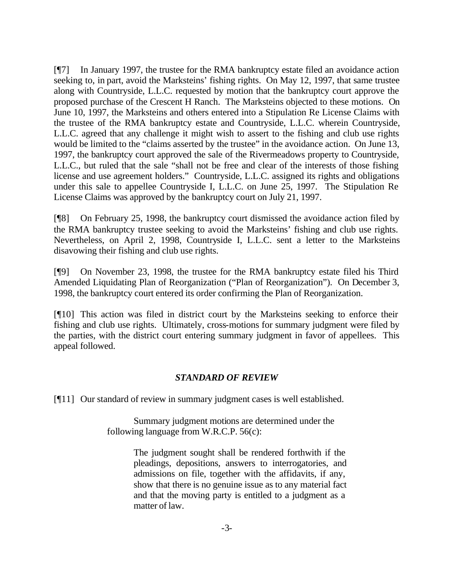[¶7] In January 1997, the trustee for the RMA bankruptcy estate filed an avoidance action seeking to, in part, avoid the Marksteins' fishing rights. On May 12, 1997, that same trustee along with Countryside, L.L.C. requested by motion that the bankruptcy court approve the proposed purchase of the Crescent H Ranch. The Marksteins objected to these motions. On June 10, 1997, the Marksteins and others entered into a Stipulation Re License Claims with the trustee of the RMA bankruptcy estate and Countryside, L.L.C. wherein Countryside, L.L.C. agreed that any challenge it might wish to assert to the fishing and club use rights would be limited to the "claims asserted by the trustee" in the avoidance action. On June 13, 1997, the bankruptcy court approved the sale of the Rivermeadows property to Countryside, L.L.C., but ruled that the sale "shall not be free and clear of the interests of those fishing license and use agreement holders." Countryside, L.L.C. assigned its rights and obligations under this sale to appellee Countryside I, L.L.C. on June 25, 1997. The Stipulation Re License Claims was approved by the bankruptcy court on July 21, 1997.

[¶8] On February 25, 1998, the bankruptcy court dismissed the avoidance action filed by the RMA bankruptcy trustee seeking to avoid the Marksteins' fishing and club use rights. Nevertheless, on April 2, 1998, Countryside I, L.L.C. sent a letter to the Marksteins disavowing their fishing and club use rights.

[¶9] On November 23, 1998, the trustee for the RMA bankruptcy estate filed his Third Amended Liquidating Plan of Reorganization ("Plan of Reorganization"). On December 3, 1998, the bankruptcy court entered its order confirming the Plan of Reorganization.

[¶10] This action was filed in district court by the Marksteins seeking to enforce their fishing and club use rights. Ultimately, cross-motions for summary judgment were filed by the parties, with the district court entering summary judgment in favor of appellees. This appeal followed.

## *STANDARD OF REVIEW*

[¶11] Our standard of review in summary judgment cases is well established.

Summary judgment motions are determined under the following language from W.R.C.P. 56(c):

> The judgment sought shall be rendered forthwith if the pleadings, depositions, answers to interrogatories, and admissions on file, together with the affidavits, if any, show that there is no genuine issue as to any material fact and that the moving party is entitled to a judgment as a matter of law.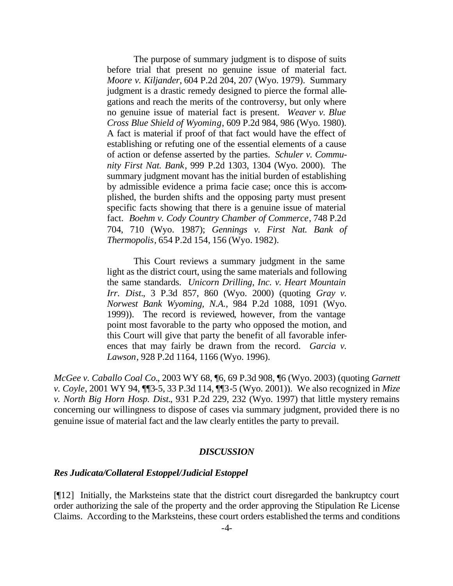The purpose of summary judgment is to dispose of suits before trial that present no genuine issue of material fact. *Moore v. Kiljander*, 604 P.2d 204, 207 (Wyo. 1979). Summary judgment is a drastic remedy designed to pierce the formal allegations and reach the merits of the controversy, but only where no genuine issue of material fact is present. *Weaver v. Blue Cross Blue Shield of Wyoming*, 609 P.2d 984, 986 (Wyo. 1980). A fact is material if proof of that fact would have the effect of establishing or refuting one of the essential elements of a cause of action or defense asserted by the parties. *Schuler v. Community First Nat. Bank*, 999 P.2d 1303, 1304 (Wyo. 2000). The summary judgment movant has the initial burden of establishing by admissible evidence a prima facie case; once this is accomplished, the burden shifts and the opposing party must present specific facts showing that there is a genuine issue of material fact. *Boehm v. Cody Country Chamber of Commerce*, 748 P.2d 704, 710 (Wyo. 1987); *Gennings v. First Nat. Bank of Thermopolis*, 654 P.2d 154, 156 (Wyo. 1982).

This Court reviews a summary judgment in the same light as the district court, using the same materials and following the same standards. *Unicorn Drilling, Inc. v. Heart Mountain Irr. Dist.*, 3 P.3d 857, 860 (Wyo. 2000) (quoting *Gray v. Norwest Bank Wyoming, N.A.*, 984 P.2d 1088, 1091 (Wyo. 1999)). The record is reviewed, however, from the vantage point most favorable to the party who opposed the motion, and this Court will give that party the benefit of all favorable inferences that may fairly be drawn from the record. *Garcia v. Lawson*, 928 P.2d 1164, 1166 (Wyo. 1996).

*McGee v. Caballo Coal Co.*, 2003 WY 68, ¶6, 69 P.3d 908, ¶6 (Wyo. 2003) (quoting *Garnett v. Coyle*, 2001 WY 94, ¶¶3-5, 33 P.3d 114, ¶¶3-5 (Wyo. 2001)). We also recognized in *Mize v. North Big Horn Hosp. Dist.*, 931 P.2d 229, 232 (Wyo. 1997) that little mystery remains concerning our willingness to dispose of cases via summary judgment, provided there is no genuine issue of material fact and the law clearly entitles the party to prevail.

#### *DISCUSSION*

#### *Res Judicata/Collateral Estoppel/Judicial Estoppel*

[¶12] Initially, the Marksteins state that the district court disregarded the bankruptcy court order authorizing the sale of the property and the order approving the Stipulation Re License Claims. According to the Marksteins, these court orders established the terms and conditions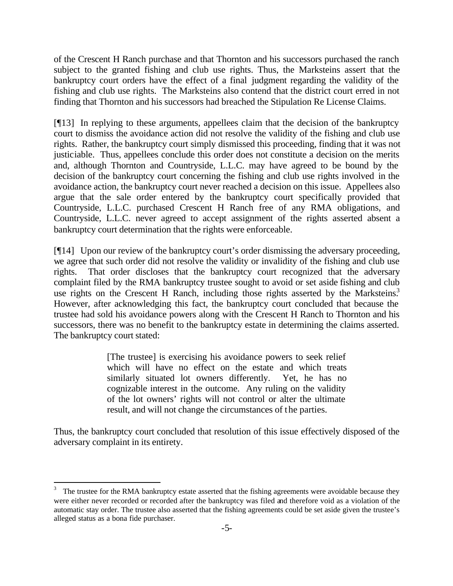of the Crescent H Ranch purchase and that Thornton and his successors purchased the ranch subject to the granted fishing and club use rights. Thus, the Marksteins assert that the bankruptcy court orders have the effect of a final judgment regarding the validity of the fishing and club use rights. The Marksteins also contend that the district court erred in not finding that Thornton and his successors had breached the Stipulation Re License Claims.

[¶13] In replying to these arguments, appellees claim that the decision of the bankruptcy court to dismiss the avoidance action did not resolve the validity of the fishing and club use rights. Rather, the bankruptcy court simply dismissed this proceeding, finding that it was not justiciable. Thus, appellees conclude this order does not constitute a decision on the merits and, although Thornton and Countryside, L.L.C. may have agreed to be bound by the decision of the bankruptcy court concerning the fishing and club use rights involved in the avoidance action, the bankruptcy court never reached a decision on this issue. Appellees also argue that the sale order entered by the bankruptcy court specifically provided that Countryside, L.L.C. purchased Crescent H Ranch free of any RMA obligations, and Countryside, L.L.C. never agreed to accept assignment of the rights asserted absent a bankruptcy court determination that the rights were enforceable.

[¶14] Upon our review of the bankruptcy court's order dismissing the adversary proceeding, we agree that such order did not resolve the validity or invalidity of the fishing and club use rights. That order discloses that the bankruptcy court recognized that the adversary complaint filed by the RMA bankruptcy trustee sought to avoid or set aside fishing and club use rights on the Crescent H Ranch, including those rights asserted by the Marksteins.<sup>3</sup> However, after acknowledging this fact, the bankruptcy court concluded that because the trustee had sold his avoidance powers along with the Crescent H Ranch to Thornton and his successors, there was no benefit to the bankruptcy estate in determining the claims asserted. The bankruptcy court stated:

> [The trustee] is exercising his avoidance powers to seek relief which will have no effect on the estate and which treats similarly situated lot owners differently. Yet, he has no cognizable interest in the outcome. Any ruling on the validity of the lot owners' rights will not control or alter the ultimate result, and will not change the circumstances of the parties.

Thus, the bankruptcy court concluded that resolution of this issue effectively disposed of the adversary complaint in its entirety.

<sup>3</sup> The trustee for the RMA bankruptcy estate asserted that the fishing agreements were avoidable because they were either never recorded or recorded after the bankruptcy was filed and therefore void as a violation of the automatic stay order. The trustee also asserted that the fishing agreements could be set aside given the trustee's alleged status as a bona fide purchaser.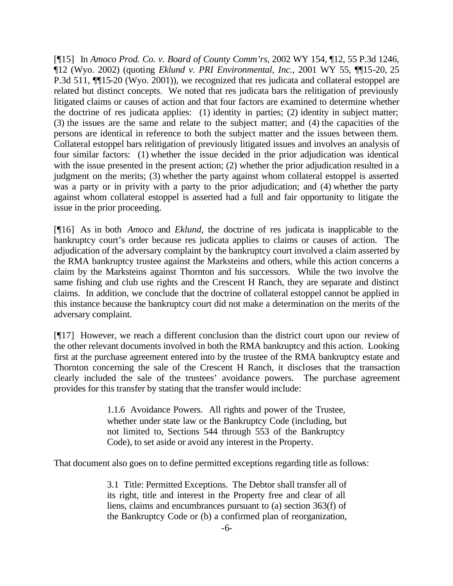[¶15] In *Amoco Prod. Co. v. Board of County Comm'rs*, 2002 WY 154, ¶12, 55 P.3d 1246, ¶12 (Wyo. 2002) (quoting *Eklund v. PRI Environmental, Inc.*, 2001 WY 55, ¶¶15-20, 25 P.3d 511,  $\P$ [15-20 (Wyo. 2001)), we recognized that res judicata and collateral estoppel are related but distinct concepts. We noted that res judicata bars the relitigation of previously litigated claims or causes of action and that four factors are examined to determine whether the doctrine of res judicata applies: (1) identity in parties; (2) identity in subject matter; (3) the issues are the same and relate to the subject matter; and (4) the capacities of the persons are identical in reference to both the subject matter and the issues between them. Collateral estoppel bars relitigation of previously litigated issues and involves an analysis of four similar factors: (1) whether the issue decided in the prior adjudication was identical with the issue presented in the present action; (2) whether the prior adjudication resulted in a judgment on the merits; (3) whether the party against whom collateral estoppel is asserted was a party or in privity with a party to the prior adjudication; and (4) whether the party against whom collateral estoppel is asserted had a full and fair opportunity to litigate the issue in the prior proceeding.

[¶16] As in both *Amoco* and *Eklund*, the doctrine of res judicata is inapplicable to the bankruptcy court's order because res judicata applies to claims or causes of action. The adjudication of the adversary complaint by the bankruptcy court involved a claim asserted by the RMA bankruptcy trustee against the Marksteins and others, while this action concerns a claim by the Marksteins against Thornton and his successors. While the two involve the same fishing and club use rights and the Crescent H Ranch, they are separate and distinct claims. In addition, we conclude that the doctrine of collateral estoppel cannot be applied in this instance because the bankruptcy court did not make a determination on the merits of the adversary complaint.

[¶17] However, we reach a different conclusion than the district court upon our review of the other relevant documents involved in both the RMA bankruptcy and this action. Looking first at the purchase agreement entered into by the trustee of the RMA bankruptcy estate and Thornton concerning the sale of the Crescent H Ranch, it discloses that the transaction clearly included the sale of the trustees' avoidance powers. The purchase agreement provides for this transfer by stating that the transfer would include:

> 1.1.6 Avoidance Powers. All rights and power of the Trustee, whether under state law or the Bankruptcy Code (including, but not limited to, Sections 544 through 553 of the Bankruptcy Code), to set aside or avoid any interest in the Property.

That document also goes on to define permitted exceptions regarding title as follows:

3.1 Title: Permitted Exceptions. The Debtor shall transfer all of its right, title and interest in the Property free and clear of all liens, claims and encumbrances pursuant to (a) section 363(f) of the Bankruptcy Code or (b) a confirmed plan of reorganization,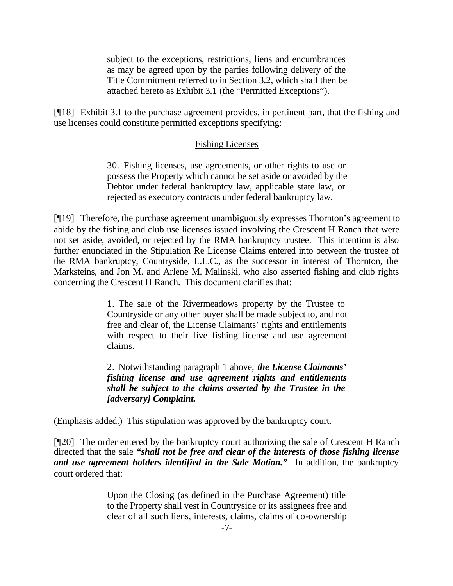subject to the exceptions, restrictions, liens and encumbrances as may be agreed upon by the parties following delivery of the Title Commitment referred to in Section 3.2, which shall then be attached hereto as Exhibit 3.1 (the "Permitted Exceptions").

[¶18] Exhibit 3.1 to the purchase agreement provides, in pertinent part, that the fishing and use licenses could constitute permitted exceptions specifying:

## Fishing Licenses

30. Fishing licenses, use agreements, or other rights to use or possess the Property which cannot be set aside or avoided by the Debtor under federal bankruptcy law, applicable state law, or rejected as executory contracts under federal bankruptcy law.

[¶19] Therefore, the purchase agreement unambiguously expresses Thornton's agreement to abide by the fishing and club use licenses issued involving the Crescent H Ranch that were not set aside, avoided, or rejected by the RMA bankruptcy trustee. This intention is also further enunciated in the Stipulation Re License Claims entered into between the trustee of the RMA bankruptcy, Countryside, L.L.C., as the successor in interest of Thornton, the Marksteins, and Jon M. and Arlene M. Malinski, who also asserted fishing and club rights concerning the Crescent H Ranch. This document clarifies that:

> 1. The sale of the Rivermeadows property by the Trustee to Countryside or any other buyer shall be made subject to, and not free and clear of, the License Claimants' rights and entitlements with respect to their five fishing license and use agreement claims.

> 2. Notwithstanding paragraph 1 above, *the License Claimants' fishing license and use agreement rights and entitlements shall be subject to the claims asserted by the Trustee in the [adversary] Complaint.*

(Emphasis added.) This stipulation was approved by the bankruptcy court.

[¶20] The order entered by the bankruptcy court authorizing the sale of Crescent H Ranch directed that the sale *"shall not be free and clear of the interests of those fishing license*  and use agreement holders identified in the Sale Motion." In addition, the bankruptcy court ordered that:

> Upon the Closing (as defined in the Purchase Agreement) title to the Property shall vest in Countryside or its assignees free and clear of all such liens, interests, claims, claims of co-ownership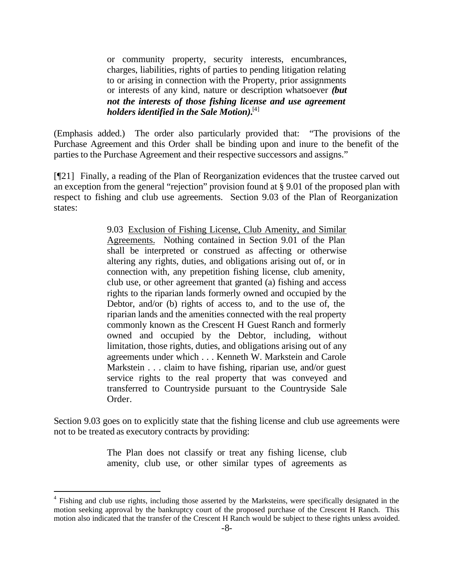or community property, security interests, encumbrances, charges, liabilities, rights of parties to pending litigation relating to or arising in connection with the Property, prior assignments or interests of any kind, nature or description whatsoever *(but not the interests of those fishing license and use agreement holders identified in the Sale Motion).*[4]

(Emphasis added.) The order also particularly provided that: "The provisions of the Purchase Agreement and this Order shall be binding upon and inure to the benefit of the parties to the Purchase Agreement and their respective successors and assigns."

[¶21] Finally, a reading of the Plan of Reorganization evidences that the trustee carved out an exception from the general "rejection" provision found at § 9.01 of the proposed plan with respect to fishing and club use agreements. Section 9.03 of the Plan of Reorganization states:

> 9.03 Exclusion of Fishing License, Club Amenity, and Similar Agreements. Nothing contained in Section 9.01 of the Plan shall be interpreted or construed as affecting or otherwise altering any rights, duties, and obligations arising out of, or in connection with, any prepetition fishing license, club amenity, club use, or other agreement that granted (a) fishing and access rights to the riparian lands formerly owned and occupied by the Debtor, and/or (b) rights of access to, and to the use of, the riparian lands and the amenities connected with the real property commonly known as the Crescent H Guest Ranch and formerly owned and occupied by the Debtor, including, without limitation, those rights, duties, and obligations arising out of any agreements under which . . . Kenneth W. Markstein and Carole Markstein . . . claim to have fishing, riparian use, and/or guest service rights to the real property that was conveyed and transferred to Countryside pursuant to the Countryside Sale Order.

Section 9.03 goes on to explicitly state that the fishing license and club use agreements were not to be treated as executory contracts by providing:

> The Plan does not classify or treat any fishing license, club amenity, club use, or other similar types of agreements as

<sup>&</sup>lt;sup>4</sup> Fishing and club use rights, including those asserted by the Marksteins, were specifically designated in the motion seeking approval by the bankruptcy court of the proposed purchase of the Crescent H Ranch. This motion also indicated that the transfer of the Crescent H Ranch would be subject to these rights unless avoided.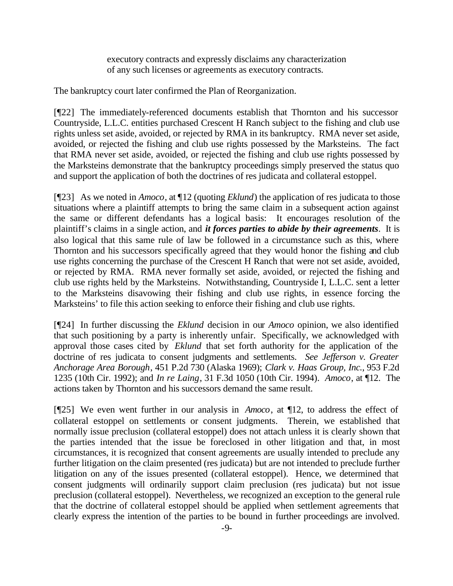executory contracts and expressly disclaims any characterization of any such licenses or agreements as executory contracts.

The bankruptcy court later confirmed the Plan of Reorganization.

[¶22] The immediately-referenced documents establish that Thornton and his successor Countryside, L.L.C. entities purchased Crescent H Ranch subject to the fishing and club use rights unless set aside, avoided, or rejected by RMA in its bankruptcy. RMA never set aside, avoided, or rejected the fishing and club use rights possessed by the Marksteins. The fact that RMA never set aside, avoided, or rejected the fishing and club use rights possessed by the Marksteins demonstrate that the bankruptcy proceedings simply preserved the status quo and support the application of both the doctrines of res judicata and collateral estoppel.

[¶23] As we noted in *Amoco*, at ¶12 (quoting *Eklund*) the application of res judicata to those situations where a plaintiff attempts to bring the same claim in a subsequent action against the same or different defendants has a logical basis: It encourages resolution of the plaintiff's claims in a single action, and *it forces parties to abide by their agreements*. It is also logical that this same rule of law be followed in a circumstance such as this, where Thornton and his successors specifically agreed that they would honor the fishing and club use rights concerning the purchase of the Crescent H Ranch that were not set aside, avoided, or rejected by RMA. RMA never formally set aside, avoided, or rejected the fishing and club use rights held by the Marksteins. Notwithstanding, Countryside I, L.L.C. sent a letter to the Marksteins disavowing their fishing and club use rights, in essence forcing the Marksteins' to file this action seeking to enforce their fishing and club use rights.

[¶24] In further discussing the *Eklund* decision in our *Amoco* opinion, we also identified that such positioning by a party is inherently unfair.Specifically, we acknowledged with approval those cases cited by *Eklund* that set forth authority for the application of the doctrine of res judicata to consent judgments and settlements. *See Jefferson v. Greater Anchorage Area Borough*, 451 P.2d 730 (Alaska 1969); *Clark v. Haas Group, Inc.*, 953 F.2d 1235 (10th Cir. 1992); and *In re Laing*, 31 F.3d 1050 (10th Cir. 1994). *Amoco*, at ¶12. The actions taken by Thornton and his successors demand the same result.

[¶25] We even went further in our analysis in *Amoco*, at ¶12, to address the effect of collateral estoppel on settlements or consent judgments. Therein, we established that normally issue preclusion (collateral estoppel) does not attach unless it is clearly shown that the parties intended that the issue be foreclosed in other litigation and that, in most circumstances, it is recognized that consent agreements are usually intended to preclude any further litigation on the claim presented (res judicata) but are not intended to preclude further litigation on any of the issues presented (collateral estoppel). Hence, we determined that consent judgments will ordinarily support claim preclusion (res judicata) but not issue preclusion (collateral estoppel). Nevertheless, we recognized an exception to the general rule that the doctrine of collateral estoppel should be applied when settlement agreements that clearly express the intention of the parties to be bound in further proceedings are involved.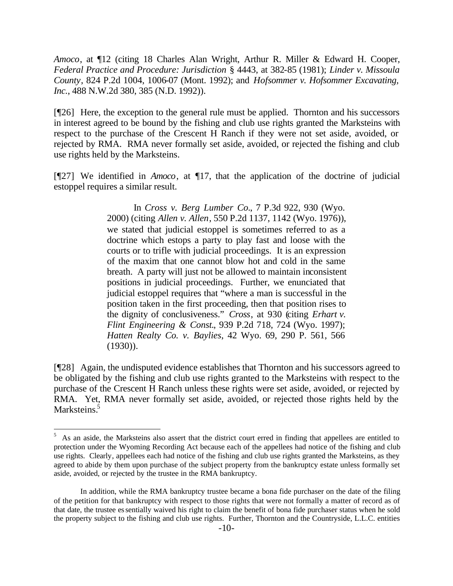*Amoco*, at ¶12 (citing 18 Charles Alan Wright, Arthur R. Miller & Edward H. Cooper, *Federal Practice and Procedure: Jurisdiction* § 4443, at 382-85 (1981); *Linder v. Missoula County*, 824 P.2d 1004, 1006-07 (Mont. 1992); and *Hofsommer v. Hofsommer Excavating, Inc.*, 488 N.W.2d 380, 385 (N.D. 1992)).

[¶26] Here, the exception to the general rule must be applied. Thornton and his successors in interest agreed to be bound by the fishing and club use rights granted the Marksteins with respect to the purchase of the Crescent H Ranch if they were not set aside, avoided, or rejected by RMA. RMA never formally set aside, avoided, or rejected the fishing and club use rights held by the Marksteins.

[¶27] We identified in *Amoco*, at ¶17, that the application of the doctrine of judicial estoppel requires a similar result.

> In *Cross v. Berg Lumber Co.*, 7 P.3d 922, 930 (Wyo. 2000) (citing *Allen v. Allen*, 550 P.2d 1137, 1142 (Wyo. 1976)), we stated that judicial estoppel is sometimes referred to as a doctrine which estops a party to play fast and loose with the courts or to trifle with judicial proceedings. It is an expression of the maxim that one cannot blow hot and cold in the same breath. A party will just not be allowed to maintain inconsistent positions in judicial proceedings. Further, we enunciated that judicial estoppel requires that "where a man is successful in the position taken in the first proceeding, then that position rises to the dignity of conclusiveness." *Cross*, at 930 (citing *Erhart v. Flint Engineering & Const.*, 939 P.2d 718, 724 (Wyo. 1997); *Hatten Realty Co. v. Baylies*, 42 Wyo. 69, 290 P. 561, 566 (1930)).

[¶28] Again, the undisputed evidence establishes that Thornton and his successors agreed to be obligated by the fishing and club use rights granted to the Marksteins with respect to the purchase of the Crescent H Ranch unless these rights were set aside, avoided, or rejected by RMA. Yet, RMA never formally set aside, avoided, or rejected those rights held by the Marksteins.<sup>5</sup>

<sup>5</sup> As an aside, the Marksteins also assert that the district court erred in finding that appellees are entitled to protection under the Wyoming Recording Act because each of the appellees had notice of the fishing and club use rights. Clearly, appellees each had notice of the fishing and club use rights granted the Marksteins, as they agreed to abide by them upon purchase of the subject property from the bankruptcy estate unless formally set aside, avoided, or rejected by the trustee in the RMA bankruptcy.

In addition, while the RMA bankruptcy trustee became a bona fide purchaser on the date of the filing of the petition for that bankruptcy with respect to those rights that were not formally a matter of record as of that date, the trustee essentially waived his right to claim the benefit of bona fide purchaser status when he sold the property subject to the fishing and club use rights. Further, Thornton and the Countryside, L.L.C. entities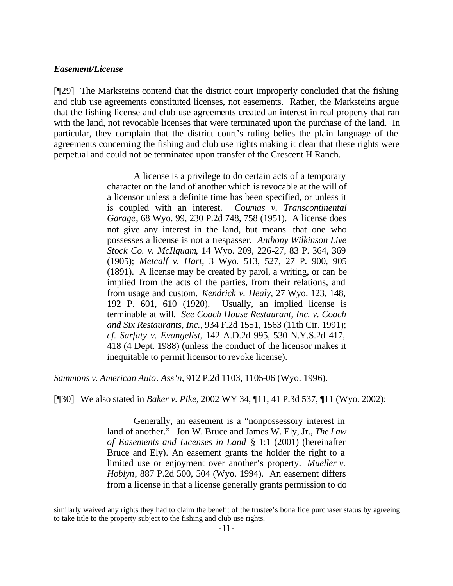#### *Easement/License*

l

[¶29] The Marksteins contend that the district court improperly concluded that the fishing and club use agreements constituted licenses, not easements. Rather, the Marksteins argue that the fishing license and club use agreements created an interest in real property that ran with the land, not revocable licenses that were terminated upon the purchase of the land. In particular, they complain that the district court's ruling belies the plain language of the agreements concerning the fishing and club use rights making it clear that these rights were perpetual and could not be terminated upon transfer of the Crescent H Ranch.

> A license is a privilege to do certain acts of a temporary character on the land of another which is revocable at the will of a licensor unless a definite time has been specified, or unless it is coupled with an interest. *Coumas v. Transcontinental Garage*, 68 Wyo. 99, 230 P.2d 748, 758 (1951). A license does not give any interest in the land, but means that one who possesses a license is not a trespasser. *Anthony Wilkinson Live Stock Co. v. McIlquam*, 14 Wyo. 209, 226-27, 83 P. 364, 369 (1905); *Metcalf v. Hart*, 3 Wyo. 513, 527, 27 P. 900, 905 (1891). A license may be created by parol, a writing, or can be implied from the acts of the parties, from their relations, and from usage and custom. *Kendrick v. Healy*, 27 Wyo. 123, 148, 192 P. 601, 610 (1920). Usually, an implied license is terminable at will. *See Coach House Restaurant, Inc. v. Coach and Six Restaurants, Inc.*, 934 F.2d 1551, 1563 (11th Cir. 1991); *cf. Sarfaty v. Evangelist*, 142 A.D.2d 995, 530 N.Y.S.2d 417, 418 (4 Dept. 1988) (unless the conduct of the licensor makes it inequitable to permit licensor to revoke license).

*Sammons v. American Auto. Ass'n*, 912 P.2d 1103, 1105-06 (Wyo. 1996).

[¶30] We also stated in *Baker v. Pike*, 2002 WY 34, ¶11, 41 P.3d 537, ¶11 (Wyo. 2002):

Generally, an easement is a "nonpossessory interest in land of another." Jon W. Bruce and James W. Ely, Jr., *The Law of Easements and Licenses in Land* § 1:1 (2001) (hereinafter Bruce and Ely). An easement grants the holder the right to a limited use or enjoyment over another's property. *Mueller v. Hoblyn*, 887 P.2d 500, 504 (Wyo. 1994). An easement differs from a license in that a license generally grants permission to do

similarly waived any rights they had to claim the benefit of the trustee's bona fide purchaser status by agreeing to take title to the property subject to the fishing and club use rights.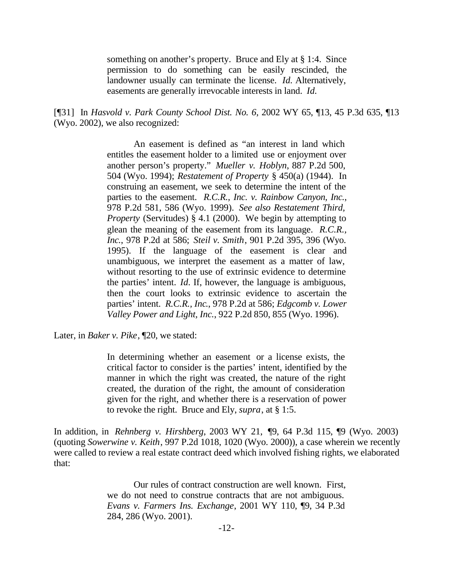something on another's property. Bruce and Ely at § 1:4. Since permission to do something can be easily rescinded, the landowner usually can terminate the license. *Id.* Alternatively, easements are generally irrevocable interests in land. *Id.*

[¶31] In *Hasvold v. Park County School Dist. No. 6*, 2002 WY 65, ¶13, 45 P.3d 635, ¶13 (Wyo. 2002), we also recognized:

> An easement is defined as "an interest in land which entitles the easement holder to a limited use or enjoyment over another person's property." *Mueller v. Hoblyn*, 887 P.2d 500, 504 (Wyo. 1994); *Restatement of Property* § 450(a) (1944). In construing an easement, we seek to determine the intent of the parties to the easement. *R.C.R., Inc. v. Rainbow Canyon, Inc.*, 978 P.2d 581, 586 (Wyo. 1999). *See also Restatement Third, Property* (Servitudes) § 4.1 (2000). We begin by attempting to glean the meaning of the easement from its language. *R.C.R., Inc.*, 978 P.2d at 586; *Steil v. Smith*, 901 P.2d 395, 396 (Wyo. 1995). If the language of the easement is clear and unambiguous, we interpret the easement as a matter of law, without resorting to the use of extrinsic evidence to determine the parties' intent. *Id.* If, however, the language is ambiguous, then the court looks to extrinsic evidence to ascertain the parties' intent. *R.C.R., Inc*., 978 P.2d at 586; *Edgcomb v. Lower Valley Power and Light, Inc.*, 922 P.2d 850, 855 (Wyo. 1996).

Later, in *Baker v. Pike*, ¶20, we stated:

In determining whether an easement or a license exists, the critical factor to consider is the parties' intent, identified by the manner in which the right was created, the nature of the right created, the duration of the right, the amount of consideration given for the right, and whether there is a reservation of power to revoke the right. Bruce and Ely, *supra*, at § 1:5.

In addition, in *Rehnberg v. Hirshberg*, 2003 WY 21, ¶9, 64 P.3d 115, ¶9 (Wyo. 2003) (quoting *Sowerwine v. Keith*, 997 P.2d 1018, 1020 (Wyo. 2000)), a case wherein we recently were called to review a real estate contract deed which involved fishing rights, we elaborated that:

> Our rules of contract construction are well known. First, we do not need to construe contracts that are not ambiguous. *Evans v. Farmers Ins. Exchange*, 2001 WY 110, ¶9, 34 P.3d 284, 286 (Wyo. 2001).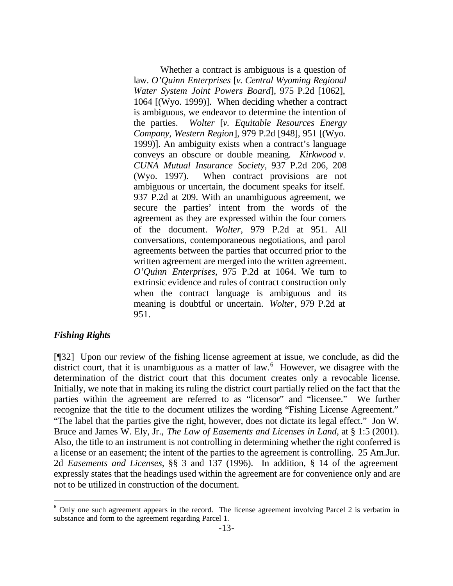Whether a contract is ambiguous is a question of law. *O'Quinn Enterprises* [*v. Central Wyoming Regional Water System Joint Powers Board*], 975 P.2d [1062], 1064 [(Wyo. 1999)]. When deciding whether a contract is ambiguous, we endeavor to determine the intention of the parties. *Wolter* [*v. Equitable Resources Energy Company, Western Region*], 979 P.2d [948], 951 [(Wyo. 1999)]. An ambiguity exists when a contract's language conveys an obscure or double meaning. *Kirkwood v. CUNA Mutual Insurance Society*, 937 P.2d 206, 208 (Wyo. 1997). When contract provisions are not ambiguous or uncertain, the document speaks for itself. 937 P.2d at 209. With an unambiguous agreement, we secure the parties' intent from the words of the agreement as they are expressed within the four corners of the document. *Wolter*, 979 P.2d at 951. All conversations, contemporaneous negotiations, and parol agreements between the parties that occurred prior to the written agreement are merged into the written agreement. *O'Quinn Enterprises*, 975 P.2d at 1064. We turn to extrinsic evidence and rules of contract construction only when the contract language is ambiguous and its meaning is doubtful or uncertain. *Wolter*, 979 P.2d at 951.

## *Fishing Rights*

l

[¶32] Upon our review of the fishing license agreement at issue, we conclude, as did the district court, that it is unambiguous as a matter of law.<sup>6</sup> However, we disagree with the determination of the district court that this document creates only a revocable license. Initially, we note that in making its ruling the district court partially relied on the fact that the parties within the agreement are referred to as "licensor" and "licensee." We further recognize that the title to the document utilizes the wording "Fishing License Agreement." "The label that the parties give the right, however, does not dictate its legal effect." Jon W. Bruce and James W. Ely, Jr., *The Law of Easements and Licenses in Land*, at § 1:5 (2001). Also, the title to an instrument is not controlling in determining whether the right conferred is a license or an easement; the intent of the parties to the agreement is controlling. 25 Am.Jur. 2d *Easements and Licenses*, §§ 3 and 137 (1996). In addition, § 14 of the agreement expressly states that the headings used within the agreement are for convenience only and are not to be utilized in construction of the document.

 $6$  Only one such agreement appears in the record. The license agreement involving Parcel 2 is verbatim in substance and form to the agreement regarding Parcel 1.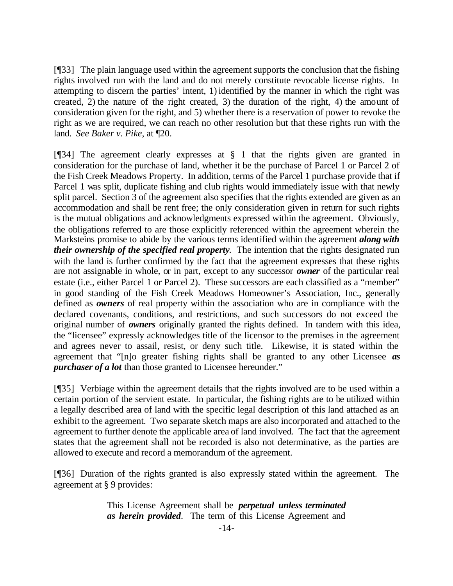[¶33] The plain language used within the agreement supports the conclusion that the fishing rights involved run with the land and do not merely constitute revocable license rights. In attempting to discern the parties' intent, 1) identified by the manner in which the right was created, 2) the nature of the right created, 3) the duration of the right, 4) the amount of consideration given for the right, and 5) whether there is a reservation of power to revoke the right as we are required, we can reach no other resolution but that these rights run with the land. *See Baker v. Pike*, at ¶20.

[¶34] The agreement clearly expresses at § 1 that the rights given are granted in consideration for the purchase of land, whether it be the purchase of Parcel 1 or Parcel 2 of the Fish Creek Meadows Property. In addition, terms of the Parcel 1 purchase provide that if Parcel 1 was split, duplicate fishing and club rights would immediately issue with that newly split parcel. Section 3 of the agreement also specifies that the rights extended are given as an accommodation and shall be rent free; the only consideration given in return for such rights is the mutual obligations and acknowledgments expressed within the agreement. Obviously, the obligations referred to are those explicitly referenced within the agreement wherein the Marksteins promise to abide by the various terms identified within the agreement *along with their ownership of the specified real property*. The intention that the rights designated run with the land is further confirmed by the fact that the agreement expresses that these rights are not assignable in whole, or in part, except to any successor *owner* of the particular real estate (i.e., either Parcel 1 or Parcel 2). These successors are each classified as a "member" in good standing of the Fish Creek Meadows Homeowner's Association, Inc., generally defined as *owners* of real property within the association who are in compliance with the declared covenants, conditions, and restrictions, and such successors do not exceed the original number of *owners* originally granted the rights defined. In tandem with this idea, the "licensee" expressly acknowledges title of the licensor to the premises in the agreement and agrees never to assail, resist, or deny such title. Likewise, it is stated within the agreement that "[n]o greater fishing rights shall be granted to any other Licensee *as purchaser of a lot* than those granted to Licensee hereunder."

[¶35] Verbiage within the agreement details that the rights involved are to be used within a certain portion of the servient estate. In particular, the fishing rights are to be utilized within a legally described area of land with the specific legal description of this land attached as an exhibit to the agreement. Two separate sketch maps are also incorporated and attached to the agreement to further denote the applicable area of land involved. The fact that the agreement states that the agreement shall not be recorded is also not determinative, as the parties are allowed to execute and record a memorandum of the agreement.

[¶36] Duration of the rights granted is also expressly stated within the agreement. The agreement at § 9 provides:

> This License Agreement shall be *perpetual unless terminated as herein provided*. The term of this License Agreement and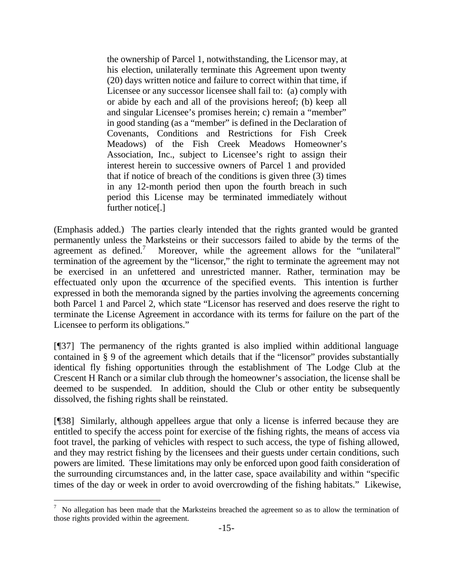the ownership of Parcel 1, notwithstanding, the Licensor may, at his election, unilaterally terminate this Agreement upon twenty (20) days written notice and failure to correct within that time, if Licensee or any successor licensee shall fail to: (a) comply with or abide by each and all of the provisions hereof; (b) keep all and singular Licensee's promises herein; c) remain a "member" in good standing (as a "member" is defined in the Declaration of Covenants, Conditions and Restrictions for Fish Creek Meadows) of the Fish Creek Meadows Homeowner's Association, Inc., subject to Licensee's right to assign their interest herein to successive owners of Parcel 1 and provided that if notice of breach of the conditions is given three (3) times in any 12-month period then upon the fourth breach in such period this License may be terminated immediately without further notice[.]

(Emphasis added.) The parties clearly intended that the rights granted would be granted permanently unless the Marksteins or their successors failed to abide by the terms of the agreement as defined.<sup>7</sup> Moreover, while the agreement allows for the "unilateral" termination of the agreement by the "licensor," the right to terminate the agreement may not be exercised in an unfettered and unrestricted manner. Rather, termination may be effectuated only upon the occurrence of the specified events. This intention is further expressed in both the memoranda signed by the parties involving the agreements concerning both Parcel 1 and Parcel 2, which state "Licensor has reserved and does reserve the right to terminate the License Agreement in accordance with its terms for failure on the part of the Licensee to perform its obligations."

[¶37] The permanency of the rights granted is also implied within additional language contained in § 9 of the agreement which details that if the "licensor" provides substantially identical fly fishing opportunities through the establishment of The Lodge Club at the Crescent H Ranch or a similar club through the homeowner's association, the license shall be deemed to be suspended. In addition, should the Club or other entity be subsequently dissolved, the fishing rights shall be reinstated.

[¶38] Similarly, although appellees argue that only a license is inferred because they are entitled to specify the access point for exercise of the fishing rights, the means of access via foot travel, the parking of vehicles with respect to such access, the type of fishing allowed, and they may restrict fishing by the licensees and their guests under certain conditions, such powers are limited. These limitations may only be enforced upon good faith consideration of the surrounding circumstances and, in the latter case, space availability and within "specific times of the day or week in order to avoid overcrowding of the fishing habitats." Likewise,

<sup>7</sup> No allegation has been made that the Marksteins breached the agreement so as to allow the termination of those rights provided within the agreement.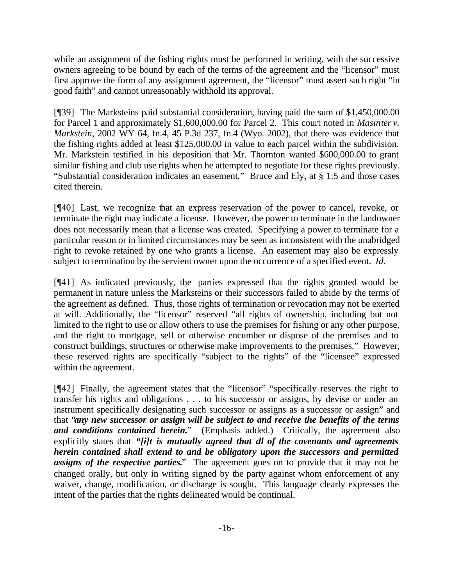while an assignment of the fishing rights must be performed in writing, with the successive owners agreeing to be bound by each of the terms of the agreement and the "licensor" must first approve the form of any assignment agreement, the "licensor" must assert such right "in good faith" and cannot unreasonably withhold its approval.

[¶39] The Marksteins paid substantial consideration, having paid the sum of \$1,450,000.00 for Parcel 1 and approximately \$1,600,000.00 for Parcel 2. This court noted in *Masinter v. Markstein*, 2002 WY 64, fn.4, 45 P.3d 237, fn.4 (Wyo. 2002), that there was evidence that the fishing rights added at least \$125,000.00 in value to each parcel within the subdivision. Mr. Markstein testified in his deposition that Mr. Thornton wanted \$600,000.00 to grant similar fishing and club use rights when he attempted to negotiate for these rights previously. "Substantial consideration indicates an easement." Bruce and Ely, at § 1:5 and those cases cited therein.

[¶40] Last, we recognize that an express reservation of the power to cancel, revoke, or terminate the right may indicate a license. However, the power to terminate in the landowner does not necessarily mean that a license was created. Specifying a power to terminate for a particular reason or in limited circumstances may be seen as inconsistent with the unabridged right to revoke retained by one who grants a license. An easement may also be expressly subject to termination by the servient owner upon the occurrence of a specified event. *Id.*

[¶41] As indicated previously, the parties expressed that the rights granted would be permanent in nature unless the Marksteins or their successors failed to abide by the terms of the agreement as defined. Thus, those rights of termination or revocation may not be exerted at will. Additionally, the "licensor" reserved "all rights of ownership, including but not limited to the right to use or allow others to use the premises for fishing or any other purpose, and the right to mortgage, sell or otherwise encumber or dispose of the premises and to construct buildings, structures or otherwise make improvements to the premises." However, these reserved rights are specifically "subject to the rights" of the "licensee" expressed within the agreement.

[¶42] Finally, the agreement states that the "licensor" "specifically reserves the right to transfer his rights and obligations . . . to his successor or assigns, by devise or under an instrument specifically designating such successor or assigns as a successor or assign" and that "*any new successor or assign will be subject to and receive the benefits of the terms and conditions contained herein.*" (Emphasis added.) Critically, the agreement also explicitly states that *"[i]t is mutually agreed that all of the covenants and agreements herein contained shall extend to and be obligatory upon the successors and permitted assigns of the respective parties.*" The agreement goes on to provide that it may not be changed orally, but only in writing signed by the party against whom enforcement of any waiver, change, modification, or discharge is sought. This language clearly expresses the intent of the parties that the rights delineated would be continual.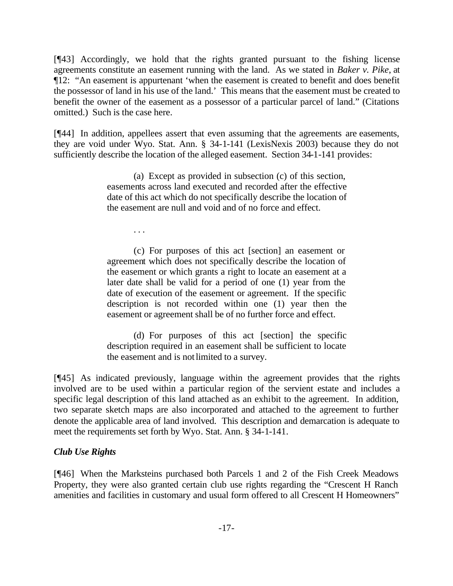[¶43] Accordingly, we hold that the rights granted pursuant to the fishing license agreements constitute an easement running with the land. As we stated in *Baker v. Pike*, at ¶12: "An easement is appurtenant 'when the easement is created to benefit and does benefit the possessor of land in his use of the land.' This means that the easement must be created to benefit the owner of the easement as a possessor of a particular parcel of land." (Citations omitted.) Such is the case here.

[¶44] In addition, appellees assert that even assuming that the agreements are easements, they are void under Wyo. Stat. Ann. § 34-1-141 (LexisNexis 2003) because they do not sufficiently describe the location of the alleged easement. Section 34-1-141 provides:

> (a) Except as provided in subsection (c) of this section, easements across land executed and recorded after the effective date of this act which do not specifically describe the location of the easement are null and void and of no force and effect.

> > . . .

(c) For purposes of this act [section] an easement or agreement which does not specifically describe the location of the easement or which grants a right to locate an easement at a later date shall be valid for a period of one (1) year from the date of execution of the easement or agreement. If the specific description is not recorded within one (1) year then the easement or agreement shall be of no further force and effect.

(d) For purposes of this act [section] the specific description required in an easement shall be sufficient to locate the easement and is not limited to a survey.

[¶45] As indicated previously, language within the agreement provides that the rights involved are to be used within a particular region of the servient estate and includes a specific legal description of this land attached as an exhibit to the agreement. In addition, two separate sketch maps are also incorporated and attached to the agreement to further denote the applicable area of land involved. This description and demarcation is adequate to meet the requirements set forth by Wyo. Stat. Ann. § 34-1-141.

# *Club Use Rights*

[¶46] When the Marksteins purchased both Parcels 1 and 2 of the Fish Creek Meadows Property, they were also granted certain club use rights regarding the "Crescent H Ranch amenities and facilities in customary and usual form offered to all Crescent H Homeowners"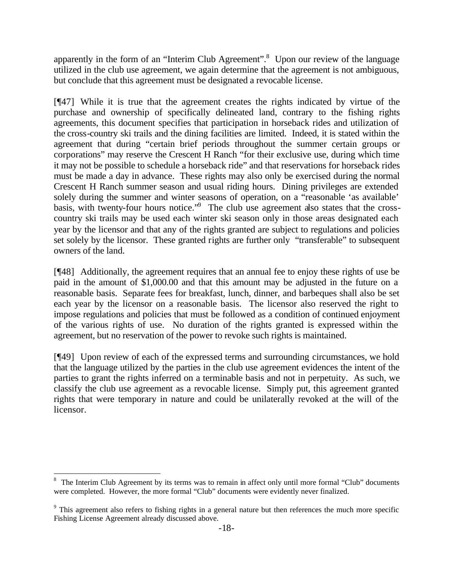apparently in the form of an "Interim Club Agreement".<sup>8</sup> Upon our review of the language utilized in the club use agreement, we again determine that the agreement is not ambiguous, but conclude that this agreement must be designated a revocable license.

[¶47] While it is true that the agreement creates the rights indicated by virtue of the purchase and ownership of specifically delineated land, contrary to the fishing rights agreements, this document specifies that participation in horseback rides and utilization of the cross-country ski trails and the dining facilities are limited. Indeed, it is stated within the agreement that during "certain brief periods throughout the summer certain groups or corporations" may reserve the Crescent H Ranch "for their exclusive use, during which time it may not be possible to schedule a horseback ride" and that reservations for horseback rides must be made a day in advance. These rights may also only be exercised during the normal Crescent H Ranch summer season and usual riding hours. Dining privileges are extended solely during the summer and winter seasons of operation, on a "reasonable 'as available' basis, with twenty-four hours notice."<sup>9</sup> The club use agreement also states that the crosscountry ski trails may be used each winter ski season only in those areas designated each year by the licensor and that any of the rights granted are subject to regulations and policies set solely by the licensor. These granted rights are further only "transferable" to subsequent owners of the land.

[¶48] Additionally, the agreement requires that an annual fee to enjoy these rights of use be paid in the amount of \$1,000.00 and that this amount may be adjusted in the future on a reasonable basis. Separate fees for breakfast, lunch, dinner, and barbeques shall also be set each year by the licensor on a reasonable basis. The licensor also reserved the right to impose regulations and policies that must be followed as a condition of continued enjoyment of the various rights of use. No duration of the rights granted is expressed within the agreement, but no reservation of the power to revoke such rights is maintained.

[¶49] Upon review of each of the expressed terms and surrounding circumstances, we hold that the language utilized by the parties in the club use agreement evidences the intent of the parties to grant the rights inferred on a terminable basis and not in perpetuity. As such, we classify the club use agreement as a revocable license. Simply put, this agreement granted rights that were temporary in nature and could be unilaterally revoked at the will of the licensor.

<sup>8</sup> The Interim Club Agreement by its terms was to remain in affect only until more formal "Club" documents were completed. However, the more formal "Club" documents were evidently never finalized.

<sup>&</sup>lt;sup>9</sup> This agreement also refers to fishing rights in a general nature but then references the much more specific Fishing License Agreement already discussed above.